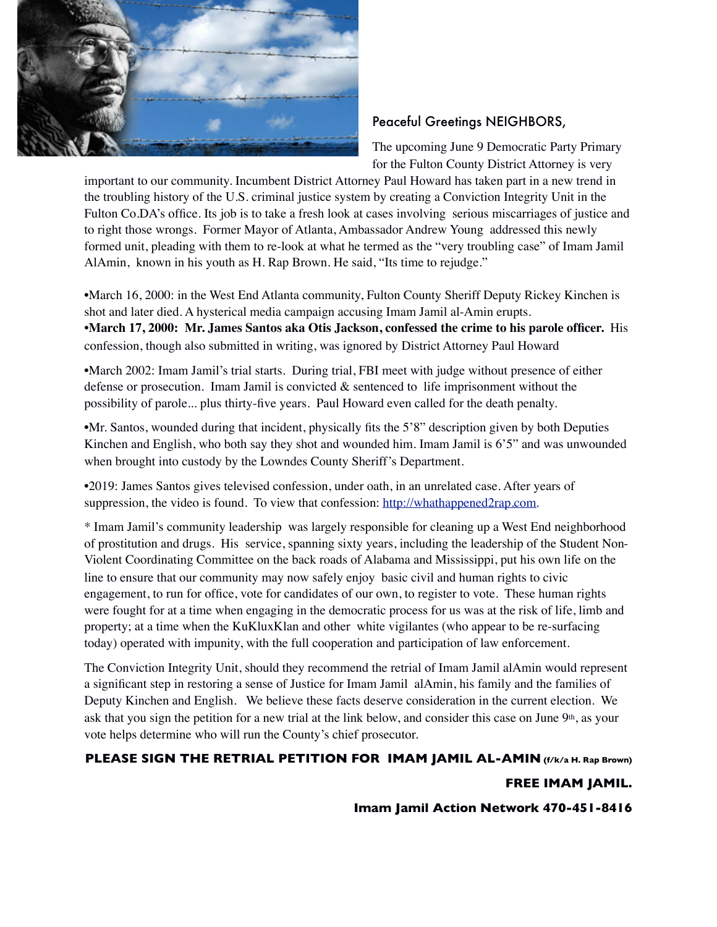

## Peaceful Greetings NEIGHBORS,

The upcoming June 9 Democratic Party Primary for the Fulton County District Attorney is very

important to our community. Incumbent District Attorney Paul Howard has taken part in a new trend in the troubling history of the U.S. criminal justice system by creating a Conviction Integrity Unit in the Fulton Co.DA's office. Its job is to take a fresh look at cases involving serious miscarriages of justice and to right those wrongs. Former Mayor of Atlanta, Ambassador Andrew Young addressed this newly formed unit, pleading with them to re-look at what he termed as the "very troubling case" of Imam Jamil AlAmin, known in his youth as H. Rap Brown. He said, "Its time to rejudge."

•March 16, 2000: in the West End Atlanta community, Fulton County Sheriff Deputy Rickey Kinchen is shot and later died. A hysterical media campaign accusing Imam Jamil al-Amin erupts. **•March 17, 2000: Mr. James Santos aka Otis Jackson, confessed the crime to his parole officer.** His confession, though also submitted in writing, was ignored by District Attorney Paul Howard

•March 2002: Imam Jamil's trial starts. During trial, FBI meet with judge without presence of either defense or prosecution. Imam Jamil is convicted & sentenced to life imprisonment without the possibility of parole... plus thirty-five years. Paul Howard even called for the death penalty.

•Mr. Santos, wounded during that incident, physically fits the 5'8" description given by both Deputies Kinchen and English, who both say they shot and wounded him. Imam Jamil is 6'5" and was unwounded when brought into custody by the Lowndes County Sheriff's Department.

•2019: James Santos gives televised confession, under oath, in an unrelated case. After years of suppression, the video is found. To view that confession: [http://whathappened2rap.com](http://whathappened2rap.com/).

\* Imam Jamil's community leadership was largely responsible for cleaning up a West End neighborhood of prostitution and drugs. His service, spanning sixty years, including the leadership of the Student Non-Violent Coordinating Committee on the back roads of Alabama and Mississippi, put his own life on the line to ensure that our community may now safely enjoy basic civil and human rights to civic engagement, to run for office, vote for candidates of our own, to register to vote. These human rights were fought for at a time when engaging in the democratic process for us was at the risk of life, limb and property; at a time when the KuKluxKlan and other white vigilantes (who appear to be re-surfacing today) operated with impunity, with the full cooperation and participation of law enforcement.

The Conviction Integrity Unit, should they recommend the retrial of Imam Jamil alAmin would represent a significant step in restoring a sense of Justice for Imam Jamil alAmin, his family and the families of Deputy Kinchen and English. We believe these facts deserve consideration in the current election. We ask that you sign the petition for a new trial at the link below, and consider this case on June  $9th$ , as your vote helps determine who will run the County's chief prosecutor.

## **PLEASE SIGN THE RETRIAL PETITION FOR IMAM JAMIL AL-AMIN (f/k/a H. Rap Brown)**

## **FREE IMAM JAMIL.**

**Imam Jamil Action Network 470-451-8416**